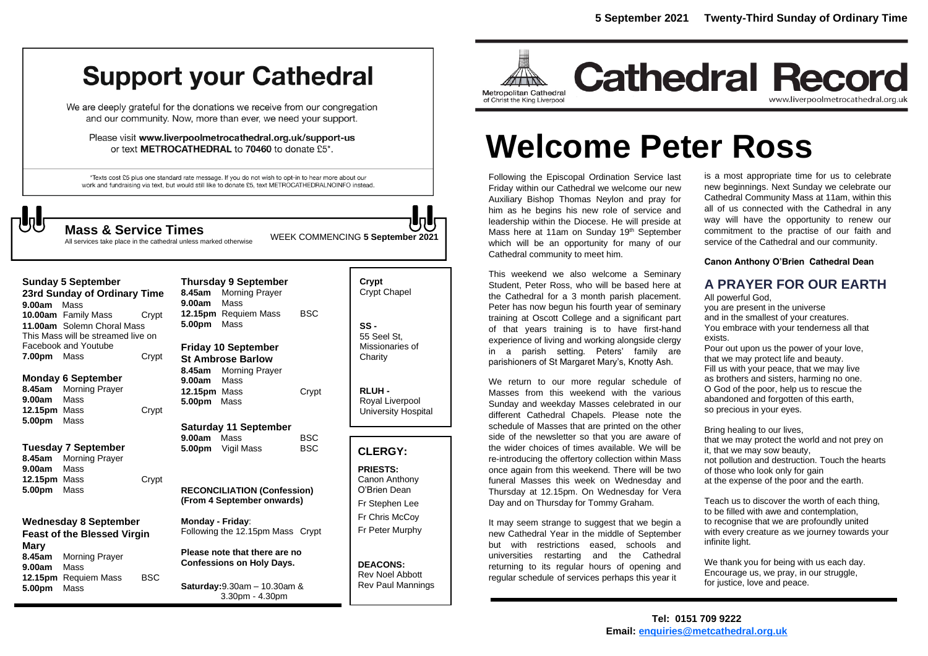# **Support your Cathedral**

We are deeply grateful for the donations we receive from our congregation and our community. Now, more than ever, we need your support.

Please visit www.liverpoolmetrocathedral.org.uk/support-us or text METROCATHEDRAL to 70460 to donate £5\*.

\*Texts cost £5 plus one standard rate message. If you do not wish to opt-in to hear more about our work and fundraising via text, but would still like to donate £5, text METROCATHEDRALNOINFO instead.

All services take place in the cathedral unless marked otherwise

WEEK COMMENCING **5 September <sup>2021</sup> Mass & Service Times**

| Sunday 5 September           |                                    |       | <b>Thursday 9 Septem</b>  |                           |
|------------------------------|------------------------------------|-------|---------------------------|---------------------------|
| 23rd Sunday of Ordinary Time |                                    |       |                           | 8.45am Morning Pray       |
| <b>9.00am</b> Mass           |                                    |       | 9.00am                    | Mass                      |
|                              | 10.00am Family Mass                | Crypt |                           | 12.15pm Requiem Ma        |
|                              | 11.00am Solemn Choral Mass         |       | 5.00pm                    | Mass                      |
|                              | This Mass will be streamed live on |       |                           |                           |
| Facebook and Youtube         |                                    |       | <b>Friday 10 Septembe</b> |                           |
| 7.00pm Mass                  |                                    | Crypt | <b>St Ambrose Barlow</b>  |                           |
|                              |                                    |       |                           | 8.45am Morning Pray       |
|                              | <b>Monday 6 September</b>          |       | 9.00am                    | Mass                      |
| 8.45am                       | <b>Morning Prayer</b>              |       | 12.15pm Mass              |                           |
| 9.00am                       | Mass                               |       | 5.00pm Mass               |                           |
| 12.15pm Mass                 |                                    | Crypt |                           |                           |
| 5.00pm                       | Mass                               |       |                           | <b>Saturday 11 Septen</b> |
|                              |                                    |       | 9.00am Mass               |                           |
|                              | Tuesday 7 September                |       |                           | 5.00pm Vigil Mass         |
| 8.45am                       | <b>Morning Prayer</b>              |       |                           |                           |
| 9.00am                       | Mass                               |       |                           |                           |
| 12.15pm Mass                 |                                    | Crypt |                           |                           |
| <b>5.00pm</b> Mass           |                                    |       |                           | <b>RECONCILIATION (Co</b> |
|                              |                                    |       |                           | (From 4 September or      |
| Wednesdav 8 September        |                                    |       | Monday - Friday:          |                           |

**Feast of the Blessed Virgin Mary 8.45am** Morning Prayer **9.00am** Mass **12.15pm** Requiem Mass BSC **5.00pm** Mass

mber aver lass BSC **Friday 10 September**

ayer Crypt

**Saturday 11 September BSC** B<sub>SC</sub>

 $\text{Confession}$ **(From 4 September onwards)**

**Monday - Friday**: Following the 12.15pm Mass Crypt

**Please note that there are no Confessions on Holy Days.**

**Saturday:**9.30am – 10.30am & 3.30pm - 4.30pm

| Crypt<br><b>Crypt Chapel</b>                      |  |
|---------------------------------------------------|--|
| SS -<br>55 Seel St.<br>Missionaries of<br>Charity |  |

**RLUH -** Royal Liverpool University Hospital

#### **CLERGY:**

**PRIESTS:** Canon Anthony O'Brien *Dean* Fr Stephen Lee Fr Chris McCoy Fr Peter Murphy

**DEACONS:** Rev Noel Abbott Rev Paul Mannings



**Cathedral Record** www.liverpoolmetrocathedral.org.uk

# **Welcome Peter Ross**

Following the Episcopal Ordination Service last Friday within our Cathedral we welcome our new Auxiliary Bishop Thomas Neylon and pray for him as he begins his new role of service and leadership within the Diocese. He will preside at Mass here at 11am on Sunday 19<sup>th</sup> September which will be an opportunity for many of our Cathedral community to meet him.

This weekend we also welcome a Seminary Student, Peter Ross, who will be based here at the Cathedral for a 3 month parish placement. Peter has now begun his fourth year of seminary training at Oscott College and a significant part of that years training is to have first-hand experience of living and working alongside clergy in a parish setting. Peters' family are parishioners of St Margaret Mary's, Knotty Ash.

We return to our more regular schedule of Masses from this weekend with the various Sunday and weekday Masses celebrated in our different Cathedral Chapels. Please note the schedule of Masses that are printed on the other side of the newsletter so that you are aware of the wider choices of times available. We will be re-introducing the offertory collection within Mass once again from this weekend. There will be two funeral Masses this week on Wednesday and Thursday at 12.15pm. On Wednesday for Vera Day and on Thursday for Tommy Graham.

It may seem strange to suggest that we begin a new Cathedral Year in the middle of September but with restrictions eased, schools and universities restarting and the Cathedral returning to its regular hours of opening and regular schedule of services perhaps this year it

is a most appropriate time for us to celebrate new beginnings. Next Sunday we celebrate our Cathedral Community Mass at 11am, within this all of us connected with the Cathedral in any way will have the opportunity to renew our commitment to the practise of our faith and service of the Cathedral and our community.

**Canon Anthony O'Brien Cathedral Dean**

#### **A PRAYER FOR OUR EARTH** All powerful God,

you are present in the universe and in the smallest of your creatures. You embrace with your tenderness all that exists.

Pour out upon us the power of your love, that we may protect life and beauty. Fill us with your peace, that we may live as brothers and sisters, harming no one. O God of the poor, help us to rescue the abandoned and forgotten of this earth, so precious in your eyes.

Bring healing to our lives, that we may protect the world and not prey on it, that we may sow beauty, not pollution and destruction. Touch the hearts of those who look only for gain at the expense of the poor and the earth.

Teach us to discover the worth of each thing, to be filled with awe and contemplation, to recognise that we are profoundly united with every creature as we journey towards your infinite light.

We thank you for being with us each day. Encourage us, we pray, in our struggle, for justice, love and peace.